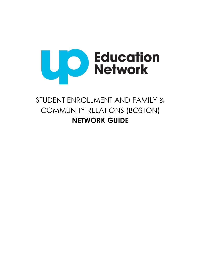

# STUDENT ENROLLMENT AND FAMILY & COMMUNITY RELATIONS (BOSTON) **NETWORK GUIDE**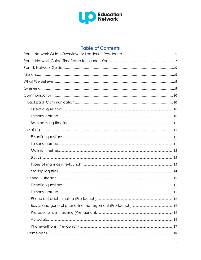

# **Table of Contents**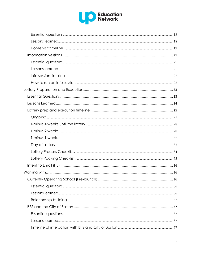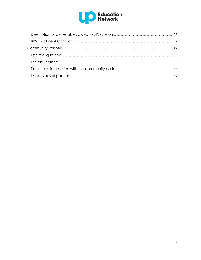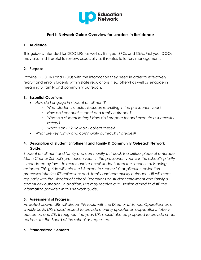

# **Part I: Network Guide Overview for Leaders in Residence**

# <span id="page-4-0"></span>**1. Audience**

This guide is intended for DOO LIRs, as well as first-year SPCs and OMs. First year DOOs may also find it useful to review, especially as it relates to lottery management.

# **2. Purpose**

Provide DOO LIRs and DOOs with the information they need in order to effectively recruit and enroll students within state regulations (i.e., lottery) as well as engage in meaningful family and community outreach.

# **3. Essential Questions:**

- *How do I engage in student enrollment?*
	- o *What students should I focus on recruiting in the pre-launch year?*
	- o *How do I conduct student and family outreach?*
	- o *What is a student lottery? How do I prepare for and execute a successful lottery?*
	- o *What is an ITE? How do I collect these?*
- *What are key family and community outreach strategies?*

# **4. Description of Student Enrollment and Family & Community Outreach Network Guide:**

*Student enrollment and family and community outreach is a critical piece of a Horace Mann Charter School's pre-launch year. In the pre-launch year, it is the school's priority – mandated by law – to recruit and re-enroll students from the school that is being restarted. This guide will help the LIR execute successful: application collection processes lotteries; ITE collection; and, family and community outreach. LIR will meet regularly with the Director of School Operations on student enrollment and family & community outreach. In addition, LIRs may receive a PD session aimed to distill the information provided in this network guide.* 

# **5. Assessment of Progress:**

*As stated above, LIRs will discuss this topic with the Director of School Operations on a weekly basis. LIRs should expect to provide monthly updates on applications, lottery outcomes, and ITEs throughout the year. LIRs should also be prepared to provide similar updates for the Board of the school as requested.*

# **6. Standardized Elements**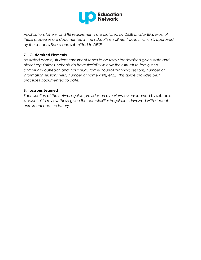

*Application, lottery, and ITE requirements are dictated by DESE and/or BPS. Most of these processes are documented in the school's enrollment policy, which is approved by the school's Board and submitted to DESE.*

# **7. Customized Elements**

*As stated above, student enrollment tends to be fairly standardized given state and district regulations. Schools do have flexibility in how they structure family and community outreach and input (e.g., family council planning sessions, number of information sessions held, number of home visits, etc.). This guide provides best practices documented to date.*

# **8. Lessons Learned**

*Each section of the network guide provides an overview/lessons learned by subtopic. It*  is essential to review these given the complexities/regulations involved with student *enrollment and the lottery.*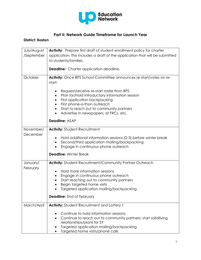

# **Part II: Network Guide Timeframe for Launch Year**

# <span id="page-6-0"></span>**District: Boston**

| July/August<br>/September | <b>Activity:</b> Prepare first draft of student enrollment policy for charter<br>application. This includes a draft of the application that will be submitted<br>to students/families.                                                                                                                |
|---------------------------|-------------------------------------------------------------------------------------------------------------------------------------------------------------------------------------------------------------------------------------------------------------------------------------------------------|
|                           | <b>Deadline:</b> Charter application deadline.                                                                                                                                                                                                                                                        |
| October                   | Activity: Once BPS School Committee announces re-start/votes on re-<br>start:                                                                                                                                                                                                                         |
|                           | Request/receive re-start roster from BPS<br>Plan for/hold introductory information session<br>$\bullet$<br>First application backpacking<br>$\bullet$<br>First phone-a-thon outreach<br>$\bullet$<br>Start to reach out to community partners<br>$\bullet$<br>Advertise in newspapers, at FRCs, etc.  |
|                           | <b>Deadline: ASAP</b>                                                                                                                                                                                                                                                                                 |
| November/<br>December     | <b>Activity: Student Recruitment</b><br>Hold additional information sessions (2-3) before winter break<br>Second/third application mailing/backpacking<br>$\bullet$<br>Engage in continuous phone outreach<br>$\bullet$<br><b>Deadline: Winter Break</b>                                              |
| January/<br>February      | Activity: Student Recruitment/Community Partner Outreach<br>Hold more information sessions<br>٠<br>Engage in continuous phone outreach<br>Start reaching out to community partners<br>Begin targeted home visits<br>٠<br>Targeted application mailing/backpacking<br><b>Deadline:</b> End of February |
| March/April               | <b>Activity:</b> Student Recruitment and Lottery 1<br>Continue to hold information sessions<br>Continue to reach out to community partners; start solidifying<br>relationships/plans for SY<br>Targeted application mailing/backpacking<br>Targeted home visits/phone calls                           |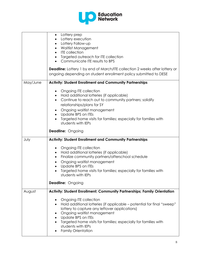

|          | Lottery prep<br>$\bullet$<br>Lottery execution<br>$\bullet$<br>Lottery Follow-up<br>$\bullet$<br><b>Waitlist Management</b><br><b>ITE</b> collection<br>Targeted outreach for ITE collection<br>Communicate ITE results to BPS<br>$\bullet$<br><b>Deadline:</b> Lottery 1 by end of March/ITE collection 2 weeks after lottery or<br>ongoing depending on student enrollment policy submitted to DESE |
|----------|-------------------------------------------------------------------------------------------------------------------------------------------------------------------------------------------------------------------------------------------------------------------------------------------------------------------------------------------------------------------------------------------------------|
| May/June | <b>Activity: Student Enrollment and Community Partnerships</b>                                                                                                                                                                                                                                                                                                                                        |
|          | Ongoing ITE collection<br>٠<br>Hold additional lotteries (if applicable)<br>$\bullet$<br>Continue to reach out to community partners; solidify<br>relationships/plans for SY<br>Ongoing waitlist management<br>٠<br>Update BPS on ITEs<br>$\bullet$<br>Targeted home visits for families; especially for families with<br>students with IEPs                                                          |
|          | <b>Deadline: Ongoing</b>                                                                                                                                                                                                                                                                                                                                                                              |
| July     | <b>Activity: Student Enrollment and Community Partnerships</b>                                                                                                                                                                                                                                                                                                                                        |
|          | Ongoing ITE collection<br>Hold additional lotteries (if applicable)<br>$\bullet$<br>Finalize community partners/afterschool schedule<br>$\bullet$<br>Ongoing waitlist management<br>$\bullet$<br>Update BPS on ITEs<br>$\bullet$<br>Targeted home visits for families; especially for families with<br>students with IEPs                                                                             |
|          | <b>Deadline: Ongoing</b>                                                                                                                                                                                                                                                                                                                                                                              |
| August   | <b>Activity: Student Enrollment; Community Partnerships; Family Orientation</b>                                                                                                                                                                                                                                                                                                                       |
|          | Ongoing ITE collection<br>٠<br>Hold additional lotteries (if applicable - potential for final "sweep"<br>lottery to capture any leftover applications)<br>Ongoing waitlist management<br>٠<br>Update BPS on ITEs<br>$\bullet$<br>Targeted home visits for families; especially for families with<br>students with IEPs<br><b>Family Orientation</b>                                                   |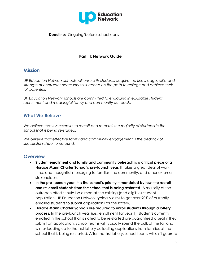

**Deadline:** Ongoing/before school starts

# **Part III: Network Guide**

# <span id="page-8-1"></span><span id="page-8-0"></span>**Mission**

*UP Education Network schools will ensure its students acquire the knowledge, skills, and strength of character necessary to succeed on the path to college and achieve their full potential.*

*UP Education Network schools are committed to engaging in equitable student recruitment and meaningful family and community outreach.*

# <span id="page-8-2"></span>**What We Believe**

*We believe that it is essential to recruit and re-enroll the majority of students in the school that is being re-started.*

*We believe that effective family and community engagement is the bedrock of successful school turnaround.*

# <span id="page-8-3"></span>**Overview**

- **Student enrollment and family and community outreach is a critical piece of a Horace Mann Charter School's pre-launch year.** It takes a great deal of work, time, and thoughtful messaging to families, the community, and other external stakeholders.
- **In the pre-launch year, it is the school's priority – mandated by law – to recruit and re-enroll students from the school that is being restarted.** A majority of the outreach effort should be aimed at the existing (and eligible) student population. UP Education Network typically aims to get over 90% of currently enrolled students to submit applications for the lottery.
- **Horace Mann Charter Schools are required to enroll students through a lottery process.** In the pre-launch year (i.e., enrollment for year 1), students currently enrolled in the school that is slated to be re-started are guaranteed a seat if they submit an application. School teams will typically spend the bulk of the fall and winter leading up to the first lottery collecting applications from families at the school that is being re-started. After the first lottery, school teams will shift gears to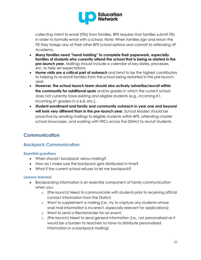

collecting intent to enroll (ITEs) from families. BPS requires that families submit ITEs in order to formally enroll with a school. Note: When families sign and return the ITE they forego any of their other BPS school options and commit to attending UP Academy.

- **Many families need "hand-holding" to complete their paperwork, especially families of students who currently attend the school that is being re-started in the pre-launch year.** Mailings should include a calendar of key dates, processes, etc. to help set expectations
- **Home visits are a critical part of outreach** and tend to be the highest contributors to helping to re-enroll families from the school being restarted in the pre-launch year.
- **However, the school launch team should also actively advertise/recruit within the community for additional spots** and/or grades in which the current school does not currently have existing and eligible students (e.g., incoming K1, incoming  $6<sup>th</sup>$  graders in a 6-8, etc.).
- **Student enrollment and family and community outreach in year one and beyond will look very different than in the pre-launch year.** School leaders should be proactive by sending mailings to eligible students within BPS, attending charter school showcases, and working with FRCs across the District to recruit students.

# <span id="page-9-0"></span>**Communication**

# <span id="page-9-1"></span>**Backpack Communication**

# <span id="page-9-2"></span>**Essential questions**

- When should I backpack versus mailing?
- How do I make sure the backpack gets distributed in time?
- What if the current school refuses to let me backpack?

# <span id="page-9-3"></span>**Lessons learned**

- Backpacking information is an essential component of family communication when you:
	- o (Pre-launch) Need to communicate with students prior to receiving official contact information from the District;
	- o Want to supplement a mailing (i.e., try to capture any students whose snail mail information is incorrect, especially relevant for applications);
	- o Want to send a flier/reminder for an event;
	- o (Pre-launch) Need to send general information (i.e., not personalized as it would be a burden to teachers to have to distribute personalized information in a backpack mailing).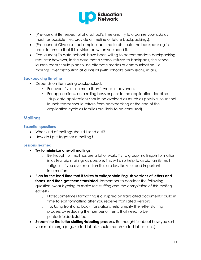

- (Pre-launch) Be respectful of a school's time and try to organize your asks as much as possible (i.e., provide a timeline of future backpackings).
- (Pre-launch) Give a school ample lead time to distribute the backpacking in order to ensure that it is distributed when you need it.
- (Pre-launch) To date, schools have been willing to accommodate backpacking requests; however, in the case that a school refuses to backpack, the school launch team should plan to use alternate modes of communication (i.e., mailings, flyer distribution at dismissal (with school's permission), et.al.).

# <span id="page-10-0"></span>**Backpacking timeline**

- Depends on item being backpacked:
	- o For event flyers, no more than 1 week in advance;
	- o For applications, on a rolling basis or prior to the application deadline (duplicate applications should be avoided as much as possible, so school launch teams should refrain from backpacking at the end of the application cycle as families are likely to be confused).

# <span id="page-10-1"></span>**Mailings**

# <span id="page-10-2"></span>**Essential questions**

- What kind of mailings should I send out?
- How do I put together a mailing?

# <span id="page-10-3"></span>**Lessons learned**

- **Try to minimize one-off mailings**.
	- o Be thoughtful; mailings are a lot of work. Try to group mailings/information in as few big mailings as possible. This will also help to avoid family mail fatigue – if you over-mail, families are less likely to read important information.
- **Plan for the lead time that it takes to write/obtain English versions of letters and forms, and then get them translated.** Remember to consider the following question: *what is going to make the stuffing and the completion of this mailing easiest?*
	- o Note: Sometimes formatting is disrupted on translated documents; build in time to edit formatting after you receive translated versions.
	- o Tip: Using front and back translations help simplify the letter stuffing process by reducing the number of items that need to be printed/folded/stuffed.
- **Streamline the letter stuffing/labeling process.** Be thoughtful about how you sort your mail merge (e.g., sorted labels should match sorted letters, etc.).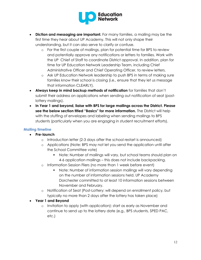

- **Diction and messaging are important.** For many families, a mailing may be the first time they hear about UP Academy. This will not only shape their understanding, but it can also serve to clarify or confuse.
	- o For the first couple of mailings, plan for potential time for BPS to review and potentially approve any notifications or letters to families. Work with the UP Chief of Staff to coordinate District approval. In addition, plan for time for UP Education Network Leadership Team, including Chief Administrative Officer and Chief Operating Officer, to review letters.
	- o Ask UP Education Network leadership to push BPS in terms of making sure families know their school is closing (i.e., ensure that they let us message that information CLEARLY).
- **Always keep in mind backup methods of notification** for families that don't submit their address on applications when sending out notification of seat (postlottery mailings).
- **In Year 1 and beyond, liaise with BPS for large mailings across the District. Please see the below section titled "Basics" for more information.** The District will help with the stuffing of envelopes and labeling when sending mailings to BPS students (particularly when you are engaging in student recruitment efforts).

# <span id="page-11-0"></span>**Mailing timeline**

- **Pre-launch**
	- o Introduction letter (2-3 days after the school restart is announced)
	- o Applications (Note: BPS may not let you send the application until after the School Committee vote)
		- Note: Number of mailings will vary, but school teams should plan on 4-6 application mailings – this does not include backpacking.
	- o Information Session Fliers (no more than 1 week before event)
		- Note: Number of information session mailings will vary depending on the number of information sessions held. UP Academy Dorchester committed to at least 10 information sessions between November and February.
	- o Notification of Seat (Post-Lottery: will depend on enrollment policy, but typically no more than 2 days after the lottery has taken place)

# **Year 1 and Beyond**

o Invitation to apply (with application): start as early as November and continue to send up to the lottery date (e.g., BPS students, SPED PAC, etc.)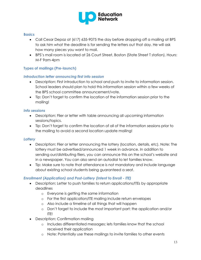

#### <span id="page-12-0"></span>**Basics**

- Call Cesar Depaz at (617) 635-9075 the day before dropping off a mailing at BPS to ask him what the deadline is for sending the letters out that day. He will ask how many pieces you want to mail.
- BPS's mail room is located at 26 Court Street, Boston (State Street T station). Hours: M-F 9am-4pm

# <span id="page-12-1"></span>**Types of mailings (Pre-launch)**

#### *Introduction letter announcing first info session*

- Description: First introduction to school and push to invite to information session. School leaders should plan to hold this information session within a few weeks of the BPS school committee announcement/vote.
- Tip: Don't forget to confirm the location of the information session prior to the mailing!

#### *Info sessions*

- Description: Flier or letter with table announcing all upcoming information sessions/topics.
- Tip: Don't forget to confirm the location of all of the information sessions prior to the mailing to avoid a second location update mailing!

# *Lottery*

- Description: Flier or letter announcing the lottery (location, details, etc). Note: The lottery must be advertised/announced 1 week in advance. In addition to sending our/distributing fliers, you can announce this on the school's website and in a newspaper. You can also send an autodial to let families know.
- Tip: Make sure to note that attendance is not mandatory and include language about existing school students being guaranteed a seat.

# *Enrollment (Application) and Post-Lottery (Intent to Enroll - ITE)*

- Description: Letter to push families to return applications/ITEs by appropriate deadlines
	- o Everyone is getting the same information
	- o For the first application/ITE mailing include return envelopes
	- o Also include a timeline of all things that will happen
	- o Don't forget to include the most important part: the application and/or ITE!
- Description: Confirmation mailing
	- o Includes differentiated messages; lets families know that the school received their application
	- o Note: Potentially use these mailings to invite families to other events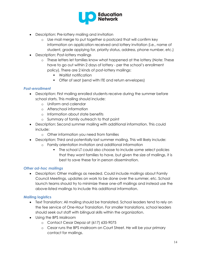

- Description: Pre-lottery mailing and invitation
	- o Use mail merge to put together a postcard that will confirm key information on application received and lottery invitation (i.e., name of student, grade applying for, priority status, address, phone number, etc.)
- Description: Post-lottery mailings
	- o These letters let families know what happened at the lottery (Note: These have to go out within 2 days of lottery - per the school's enrollment policy). There are 2 kinds of post-lottery mailings:
		- Waitlist notification
		- Offer of seat (send with ITE and return envelopes)

# *Post-enrollment*

- Description: First mailing enrolled students receive during the summer before school starts. This mailing should include:
	- o Uniform and calendar
	- o Afterschool information
	- o Information about state benefits
	- o Summary of family outreach to that point
- Description: Second summer mailing with additional information. This could include:
	- o Other information you need from families
- Description: Third and potentially last summer mailing. This will likely include:
	- o Family orientation invitation and additional information
		- The school LT could also choose to include some select policies that they want families to have, but given the size of mailings, it is best to save these for in person dissemination.

# *Other ad-hoc mailings*

 Description: Other mailings as needed. Could include mailings about Family Council Meetings, updates on work to be done over the summer, etc. School launch teams should try to minimize these one-off mailings and instead use the above-listed mailings to include this additional information.

# <span id="page-13-0"></span>**Mailing logistics**

- Text Translation: All mailing should be translated. School leaders tend to rely on the fee service of One-Hour Translation. For smaller translations, school leaders should seek out staff with bilingual skills within the organization.
- Using the BPS Mailroom
	- o Contact Cesar Depaz at (617) 635-9075
	- o Cesar runs the BPS mailroom on Court Street. He will be your primary contact for mailings.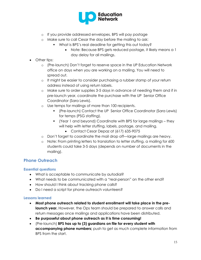

- o If you provide addressed envelopes, BPS will pay postage
- o Make sure to call Cesar the day before the mailing to ask:
	- What is BPS's real deadline for getting this out today?
		- Note: Because BPS gets reduced postage, it likely means a 1 day delay for all mailings.
- Other tips:
	- o (Pre-launch) Don't forget to reserve space in the UP Education Network office on days when you are working on a mailing. You will need to spread out.
	- o It might be easier to consider purchasing a rubber stamp of your return address instead of using return labels.
	- o Make sure to order supplies 3-5 days in advance of needing them and if in pre-launch year, coordinate the purchase with the UP Senior Office Coordinator (Sara Lewis).
	- o Use temps for mailings of more than 100 recipients.
		- (Pre-launch) Contact the UP Senior Office Coordinator (Sara Lewis) for temps (PSG staffing).
		- (Year 1 and beyond) Coordinate with BPS for large mailings they will help with letter stuffing, labels, postage, and mailing.
			- Contact Cesar Depaz at (617) 635-9075
	- o Don't forget to coordinate the mail drop off—large mailings are heavy.
	- o Note: From printing letters to translation to letter stuffing, a mailing for 600 students could take 3-5 days (depends on number of documents in the mailing).

# <span id="page-14-0"></span>**Phone Outreach**

# <span id="page-14-1"></span>**Essential questions**

- What is acceptable to communicate by autodial?
- What needs to be communicated with a "real-person" on the other end?
- How should I think about tracking phone calls?
- Do I need a script for phone outreach volunteers?

# <span id="page-14-2"></span>**Lessons learned**

- **Most phone outreach related to student enrollment will take place in the prelaunch year.** However, the Ops team should be prepared to answer calls and return messages once mailings and applications have been distributed.
- **Be purposeful about phone outreach as it is time consuming!**
- (Pre-launch) **BPS has up to (3) guardians on file for every student with accompanying phone numbers;** push to get as much complete information from BPS from the start.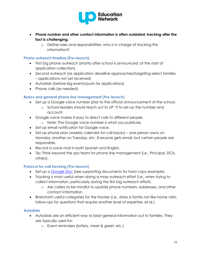

- **Phone number and other contact information is often outdated; tracking after the fact is challenging.** 
	- o Define roles and responsibilities: who is in charge of tracking this information?

# <span id="page-15-0"></span>**Phone outreach timeline (Pre-launch)**

- First big phone outreach (shortly after school is announced; at the start of application collection)
- Second outreach (as application deadline approaches/targeting select families – applications not yet received)
- Autodials (before big events/push for applications)
- Phone calls (as needed)

# <span id="page-15-1"></span>**Basics and general phone line management (Pre-launch)**

- Set-up a Google voice number prior to the official announcement of the school.
	- o School leaders should reach out to UP IT to set-up the number and account.
- Google voice makes it easy to direct calls to different people.
	- o Note: The Google voice number is what you publicize.
- Set-up email notification for Google voice.
- Set-up phone plan (weekly calendar for call backs) one person owns on Monday, another on Tuesday, etc. Everyone gets email, but certain people are responsible.
- Record a voice mail in both Spanish and English.
- Tip: Think beyond the ops team for phone line management (i.e., Principal, DCIs, others).

# <span id="page-15-2"></span>**Protocol for call tracking (Pre-launch)**

- Set-up a [Google Doc](https://docs.google.com/a/unlocking-potential.org/spreadsheet/ccc?key=0AiG36qTZe4DWdFpyeUFqYWVOV2llODRoeUI2MmgyY1E&usp=sharing) (see supporting documents for hard copy example).
- Tracking is most useful when doing a mass outreach effort (i.e., when trying to collect information, particularly during the first big outreach effort).
	- o Ask callers to be mindful to update phone numbers, addresses, and other contact information.
- Brainstorm useful categories for the tracker (i.e., does a family not like home visits; follow-ups for questions that require another level of expertise, et.al.).

# <span id="page-15-3"></span>**Autodials**

- Autodials are an efficient way to blast general information out to families. They are typically used for:
	- o Event reminders (lottery, meet & greet, etc.)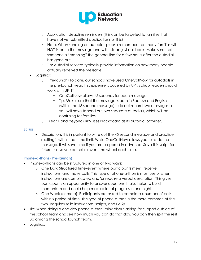

- o Application deadline reminders (this can be targeted to families that have not yet submitted applications or ITEs)
- o Note: When sending an autodial, please remember that many families will NOT listen to the message and will instead just call back. Make sure that someone is "manning" the general line for a few hours after the autodial has gone out.
- o Tip: Autodial services typically provide information on how many people actually received the message.
- Logistics:
	- o (Pre-launch) To date, our schools have used OneCallNow for autodials in the pre-launch year. This expense is covered by UP . School leaders should work with UP IT.
		- **OneCallNow allows 45 seconds for each message**
		- Tip: Make sure that the message is both in Spanish and English (within the 45 second message) – do not record two messages as you will have to send out two separate autodials, which will be confusing for families.
	- o (Year 1 and beyond) BPS uses Blackboard as its autodial provider.

#### *Script*

 Description: It is important to write out the 45 second message and practice reciting it within that time limit. While OneCallNow allows you to re-do the message, it will save time if you are prepared in advance. Save this script for future use so you do not reinvent the wheel each time.

# <span id="page-16-0"></span>**Phone-a-thons (Pre-launch)**

- Phone-a-thons can be structured in one of two ways:
	- o One Day: Structured time/event where participants meet, receive instructions, and make calls. This type of phone-a-thon is most useful when instructions are complicated and/or require a verbal description. This gives participants an opportunity to answer questions. It also helps to build momentum and could help make a lot of progress in one night.
	- o One Week (or more): Participants are asked to complete x number of calls within x period of time. This type of phone-a-thon is the more common of the two. Requires solid instructions, scripts, and FAQs
- Tip: When doing a one-day phone-a-thon, think about asking for support outside of the school team and see how much you can do that day; you can then split the rest up among the school launch team.
- Logistics: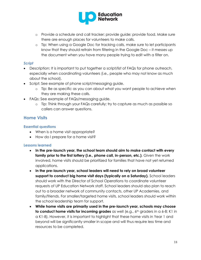

- o Provide a schedule and call tracker; provide guide; provide food. Make sure there are enough places for volunteers to make calls.
- o Tip: When using a Google Doc for tracking calls, make sure to let participants know that they should refrain from filtering in the Google Doc – it messes up the document when you have many people trying to edit with a filter on.

# *Script*

- Description: It is important to put together a script/list of FAQs for phone outreach, especially when coordinating volunteers (i.e., people who may not know as much about the school).
- Script: See example of phone script/messaging guide.
	- o Tip: Be as specific as you can about what you want people to achieve when they are making these calls.
- FAQs: See example of FAQs/messaging guide.
	- o Tip: Think through your FAQs carefully; try to capture as much as possible so callers can answer questions.

# <span id="page-17-0"></span>**Home Visits**

# <span id="page-17-1"></span>**Essential questions**

- When is a home visit appropriate?
- How do I prepare for a home visit?

# <span id="page-17-2"></span>**Lessons learned**

- **In the pre-launch year, the school team should aim to make contact with every family prior to the first lottery (i.e., phone call, in-person, etc.)**. Given the work involved, home visits should be prioritized for families that have not yet returned applications.
- **In the pre-launch year, school leaders will need to rely on broad volunteer support to conduct big home visit days (typically on a Saturday).** School leaders should work with the Director of School Operations to coordinate volunteer requests of UP Education Network staff. School leaders should also plan to reach out to a broader network of community contacts, other UP Academies, and family/friends. For smaller/targeted home visits, school leaders should work within the school leadership team for support.
- **While home visits are primarily used in the pre-launch year, schools may choose to conduct home visits for incoming grades** as well (e.g., 6<sup>th</sup> graders in a 6-8; K1 in a K1-8). However, it is important to highlight that these home visits in Year 1 and beyond will be significantly smaller in scope and will thus require less time and resources to be completed.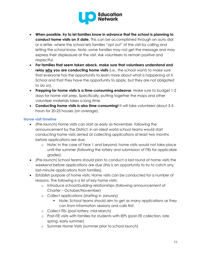

- **When possible, try to let families know in advance that the school is planning to conduct home visits on X date.** This can be accomplished through an auto dial or a letter, where the school lets families "opt out" of the visit by calling and letting the school know. Note: some families may not get the message and may express their displeasure at the visit. Ask volunteers to remain positive and respectful.
- **For families that seem taken aback, make sure that volunteers understand and relay why you are conducting home visits** (i.e., the school wants to make sure that everyone has the opportunity to learn more about what is happening at X School and that they have the opportunity to apply, but they are not obligated to do so).
- **Prepping for home visits is a time-consuming endeavor**. Make sure to budget 1-2 days for home visit prep. Specifically, putting together the maps and other volunteer materials takes a long time.
- **Conducting home visits is also time-consuming!** It will take volunteers about 3-5 hours for 20-25 houses (on average).

# <span id="page-18-0"></span>**Home visit timeline**

- (Pre-launch) Home visits can start as early as November, following the announcement by the District; in an ideal world school teams would start conducting home visits aimed at collecting applications at least two months before applications are due.
	- o Note: In the case of Year 1 and beyond, home visits would not take place until the summer (following the lottery and submission of ITEs for applicable grades).
- (Pre-launch) School teams should plan to conduct a last round of home visits the weekend before applications are due (this is an opportunity to try to catch any last-minute applications from families).
- Establish purpose of home visits: Home visits can be conducted for a number of reasons. The following is a list of key home visits:
	- o Introduce school/building relationships (following announcement of Charter – October/November)
	- o Collect applications (starting in January)
		- Note: School teams should aim to get as many applications as they can from information sessions and calls first.
	- o Collect ITEs (post-lottery, mid-March)
	- o Post-ITE visits with families for students with IEPs (post-ITE collection, late spring, early summer)
	- o Summer Home Visits (summer prior to school launch)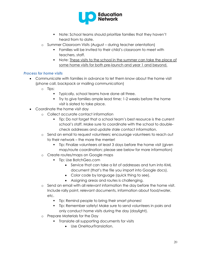

- Note: School teams should prioritize families that they haven't heard from to date.
- o Summer Classroom Visits (August during teacher orientation)
	- Families will be invited to their child's classroom to meet with teachers, staff.
	- Note: These visits to the school in the summer can take the place of some home visits for both pre-launch and year 1 and beyond.

# *Process for home visits*

- Communicate with families in advance to let them know about the home visit (phone call, backpack or mailing communication)
	- o Tips:
		- **Typically, school teams have done all three.**
		- Try to give families ample lead time; 1-2 weeks before the home visit is slated to take place.
- Coordinate the home visit day
	- o Collect accurate contact information
		- Tip: Do not forget that a school team's best resource is the current school's staff. Make sure to coordinate with the school to doublecheck addresses and update stale contact information.
	- o Send an email to request volunteers; encourage volunteers to reach out to their network – the more the merrier!
		- Tip: Finalize volunteers at least 3 days before the home visit (given map/route coordination; please see below for more information)
	- o Create routes/maps on Google maps
		- **Tip: Use BatchGeo.com** 
			- Service that can take a list of addresses and turn into KML document (that's the file you import into Google docs).
			- Color code by language (quick thing to see).
			- Assigning areas and routes is challenging.
	- o Send an email with all relevant information the day before the home visit. Include rally point, relevant documents, information about food/water, etc.
		- Tip: Remind people to bring their smart phones!
		- Tip: Remember safety! Make sure to send volunteers in pairs and only conduct home visits during the day (daylight).
	- o Prepare Materials for the Day
		- Translate all supporting documents for visits
			- Use OneHourTranslation.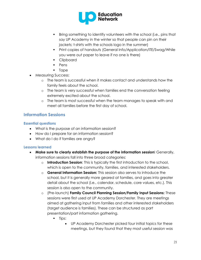

- Bring something to identify volunteers with the school (i.e., pins that say UP Academy in the winter so that people can pin on their jackets; t-shirts with the schools logo in the summer)
- Print copies of handouts (General Info/Application/ITE/Swag/While you were out paper to leave if no one is there)
- Clipboard
- Pens
- **Tape**
- Measuring Success:
	- o The team is successful when it makes contact and understands how the family feels about the school.
	- o The team is very successful when families end the conversation feeling extremely excited about the school.
	- o The team is most successful when the team manages to speak with and meet all families before the first day of school.

# <span id="page-20-0"></span>**Information Sessions**

# <span id="page-20-1"></span>**Essential questions**

- What is the purpose of an information session?
- How do I prepare for an information session?
- What do I do if families are angry?

# <span id="page-20-2"></span>**Lessons learned**

- **Make sure to clearly establish the purpose of the information session**! Generally, information sessions fall into three broad categories:
	- o **Introduction Session**: This is typically the first introduction to the school, which is open to the community, families, and interested stakeholders.
	- o **General Information Session:** This session also serves to introduce the school, but it is generally more geared at families, and goes into greater detail about the school (i.e., calendar, schedule, core values, etc.). This session is also open to the community.
	- o (Pre-launch) **Family Council Planning Session/Family Input Sessions:** These sessions were first used at UP Academy Dorchester. They are meetings aimed at gathering input from families and other interested stakeholders (target audience is families). These can be structured as part presentation/part information gathering.
		- $\blacksquare$  Tips:
			- UP Academy Dorchester picked four initial topics for these meetings, but they found that they most useful session was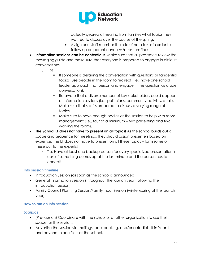

actually geared at hearing from families what topics they wanted to discuss over the course of the spring.

- Assign one staff member the role of note taker in order to follow up on parent concerns/questions/input.
- **Information sessions can be contentious**. Make sure that all presenters review the messaging guide and make sure that everyone is prepared to engage in difficult conversations.
	- o Tips:
		- **If someone is derailing the conversation with questions or tangential** topics, use people in the room to redirect (i.e., have one school leader approach that person and engage in the question as a side conversation).
		- Be aware that a diverse number of key stakeholders could appear at information sessions (i.e., politicians, community activists, et.al.). Make sure that staff is prepared to discuss a varying range of topics.
		- Make sure to have enough bodies at the session to help with room management (i.e., four at a minimum – two presenting and two working the room).
- **The School LT does not have to present on all topics!** As the school builds out a scope and sequence for meetings, they should assign presenters based on expertise. The LT does not have to present on all these topics – farm some of these out to the experts!
	- o Tip: Have at least one backup person for every specialized presentation in case if something comes up at the last minute and the person has to cancel!

# <span id="page-21-0"></span>**Info session timeline**

- Introduction Session (as soon as the school is announced)
- General Information Session (throughout the launch year, following the introduction session)
- Family Council Planning Session/Family Input Session (winter/spring of the launch year)

# <span id="page-21-1"></span>**How to run an info session**

# *Logistics*

- (Pre-launch) Coordinate with the school or another organization to use their space for the session.
- Advertise the session via mailings, backpacking, and/or autodials. If in Year 1 and beyond, place fliers at the school.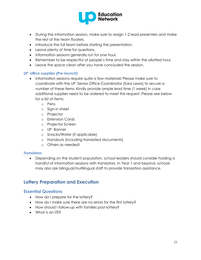

- During the information session, make sure to assign 1-2 lead presenters and make the rest of the team floaters.
- Introduce the full team before starting the presentation.
- Leave plenty of time for questions.
- Information sessions generally run for one hour.
- Remember to be respectful of people's time and stay within the allotted hour.
- Leave the space clean after you have concluded the session.

#### *UP office supplies (Pre-launch)*

- Information sessions require quite a few materials! Please make sure to coordinate with the UP Senior Office Coordinator (Sara Lewis) to secure a number of these items. Kindly provide ample lead time (1 week) in case additional supplies need to be ordered to meet this request. Please see below for a list of items:
	- o Pens
	- o Sign-in sheet
	- o Projector
	- o Extension Cords
	- o Projector Screen
	- o UP Banner
	- o Snacks/Water (if applicable)
	- o Handouts (including translated documents)
	- o Others as needed!

# *Translators*

 Depending on the student population, school leaders should consider holding a handful of information sessions with translators. In Year 1 and beyond, schools may also ask bilingual/multilingual staff to provide translation assistance.

# <span id="page-22-0"></span>**Lottery Preparation and Execution**

# <span id="page-22-1"></span>**Essential Questions**

- How do I prepare for the lottery?
- How do I make sure there are no errors for the first lottery?
- How should I follow-up with families post-lottery?
- What is an ITE?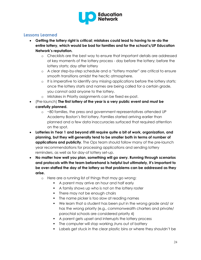

# <span id="page-23-0"></span>**Lessons Learned**

- **Getting the lottery right is critical; mistakes could lead to having to re-do the entire lottery, which would be bad for families and for the school's/UP Education Network's reputation.**
	- o Checklists are the best way to ensure that important details are addressed at key moments of the lottery process - day before the lottery; before the lottery starts; day after lottery
	- o A clear step-by-step schedule and a "lottery master" are critical to ensure smooth transitions amidst the hectic atmosphere.
	- o It is imperative to identify any missing applications before the lottery starts; once the lottery starts and names are being called for a certain grade, you cannot add anyone to the lottery.
	- o Mistakes in Priority assignments can be fixed ex-post.
- (Pre-launch) **The first lottery of the year is a very public event and must be carefully planned.**
	- o ~80 families, the press and government representatives attended UP Academy Boston's first lottery. Families started arriving earlier than planned and a few data inaccuracies surfaced that required attention on the spot.
- **Lotteries in Year 1 and beyond still require quite a bit of work, organization, and planning, but they will generally tend to be smaller both in terms of number of applications and publicity**. The Ops team should follow many of the pre-launch year recommendations for processing applications and sending lottery reminders, as well as for day-of lottery set-up.
- **No matter how well you plan, something will go awry. Running through scenarios and protocols with the team beforehand is helpful but ultimately, it's important to be over-staffed the day of the lottery so that problems can be addressed as they arise.**
	- o Here are a running list of things that may go wrong:
		- A parent may arrive an hour and half early
		- A family shows up who is not on the lottery roster
		- There may not be enough chairs
		- The name picker is too slow at reading names
		- We learn that a student has been put in the wrong grade and/ or has the wrong priority (e.g., commonwealth charters and private/ parochial schools are considered priority 4)
		- A parent gets upset and interrupts the lottery process
		- The computer will stop working /runs out of battery
		- Labels get stuck in the clear plastic bins or where they shouldn't be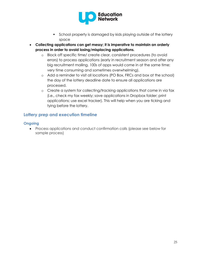

- **School property is damaged by kids playing outside of the lottery** space
- **Collecting applications can get messy; it is imperative to maintain an orderly process in order to avoid losing/misplacing applications.**
	- o Block off specific time/ create clear, consistent procedures (to avoid errors) to process applications (early in recruitment season and after any big recruitment mailing, 100s of apps would come in at the same time; very time consuming and sometimes overwhelming).
	- o Add a reminder to visit all locations (PO Box, FRCs and box at the school) the day of the lottery deadline date to ensure all applications are processed.
	- o Create a system for collecting/tracking applications that come in via fax (i.e., check my fax weekly; save applications in Dropbox folder; print applications; use excel tracker). This will help when you are ticking and tying before the lottery.

# <span id="page-24-0"></span>**Lottery prep and execution timeline**

# <span id="page-24-1"></span>**Ongoing**

 Process applications and conduct confirmation calls (please see below for sample process)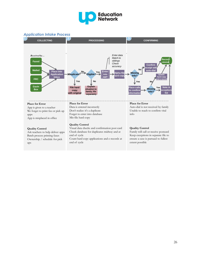

#### *Application Intake Process*

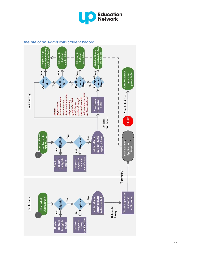

#### *The Life of an Admissions Student Record*

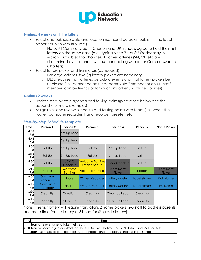

#### <span id="page-27-0"></span>**T-minus 4 weeks until the lottery**

- Select and publicize date and location (i.e., send autodial; publish in the local papers; publish with BPS, etc.)
	- o Note: All Commonwealth Charters and UP schools agree to hold their first lottery on the same date (e.g., typically the 2<sup>nd</sup> or 3<sup>rd</sup> Wednesday in March, but subject to change). All other lotteries (2<sup>nd</sup>, 3<sup>rd</sup>, etc are determined by the school without connecting with other Commonwealth Charters)
- Select lottery picker and translators (as needed)
	- o For large lotteries, two (2) lottery pickers are necessary.
	- o DESE requires that lotteries be public events and that lottery pickers be unbiased (i.e., cannot be an UP Academy staff member or an UP staff member; can be friends or family or any other unaffiliated parties).

#### <span id="page-27-1"></span>**T-minus 2 weeks…**

- Update step-by-step agenda and talking points(please see below and the appendix for more examples)
- Assign roles and review schedule and talking points with team (i.e., who's the floater, computer recorder, hand recorder, greeter, etc.)

| <b>Time</b>       | Person 1             | Person 2                   | Person 3                                  | Person 4                     | Person 5             | <b>Name Picker</b>           |
|-------------------|----------------------|----------------------------|-------------------------------------------|------------------------------|----------------------|------------------------------|
| 4:30<br><b>PM</b> |                      | Set Up Lead                |                                           |                              |                      |                              |
| 4:45<br>PM        |                      | Set Up Lead                |                                           |                              |                      |                              |
| 5:00<br>PM        | Set Up               | Set Up Lead                | Set Up                                    | Set Up Lead                  | Set Up               |                              |
| 5:15<br>PM        | Set Up               | Set Up Lead                | Set Up                                    | Set Up Lead                  | Set Up               |                              |
| 5:30<br>PM        | Set Up               | JC/SQ<br>Check-In          | <b>Welcome Families</b><br>/ Video Set Up | JC/SQ Check-In               | Set Up               |                              |
| 5:45<br><b>PM</b> | <b>Floater</b>       | Welcome<br><b>Families</b> | <b>Welcome Families</b>                   | <b>Orient Name</b><br>Picker | <b>Floater</b>       | <b>Orient Name</b><br>Picker |
| 6:00<br>PM        | Computer<br>Recorder | <b>Floater</b>             | <b>Written Recorder</b>                   | <b>Lottery Master</b>        | <b>Label Sticker</b> | <b>Pick Names</b>            |
| 6:15<br>PM        | Computer<br>Recorder | <b>Floater</b>             | <b>Written Recorder</b>                   | Lottery Master               | Label Sticker        | <b>Pick Names</b>            |
| 6:30<br>PM        | Clean Up             | Questions                  | Clean up                                  | Clean Up Lead                | Clean up             |                              |
| 6:45<br>PM        | Clean Up             | Clean Up                   | Clean Up                                  | Clean Up Lead                | Clean Up             |                              |

#### *Step-by-Step Schedule Template*

Note: The first lottery will require translators, 2 name pickers, 2-3 staff to address parents, and more time for the lottery  $(1.5$  hours for  $6<sup>th</sup>$  grade lottery)

| <b>Time</b> | Step                                                                                                    |
|-------------|---------------------------------------------------------------------------------------------------------|
|             | <b>Jean</b> asks everyone to take their seats.                                                          |
|             | <b>6:00 Jean</b> welcomes guests, introduces herself, Nicole, Shalimar, Amy, Natalya, and Melissa Goff. |
|             | <b>Jean</b> expresses appreciation for the attendees' and applicants' interest in our school.           |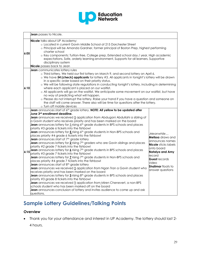

|      | Jean passes to Nicole.                                                                                                                                                                                                                                                                                                                                                                                                                                                                                                                                                                                                                                                                                                                                                                                                                                                                                                                                                                                                                                                                                                                                                                                                                                                                                                                                                                                                                                                                                                                                                                                                                                                                                                                               |                                                                                                                                                                                                                |
|------|------------------------------------------------------------------------------------------------------------------------------------------------------------------------------------------------------------------------------------------------------------------------------------------------------------------------------------------------------------------------------------------------------------------------------------------------------------------------------------------------------------------------------------------------------------------------------------------------------------------------------------------------------------------------------------------------------------------------------------------------------------------------------------------------------------------------------------------------------------------------------------------------------------------------------------------------------------------------------------------------------------------------------------------------------------------------------------------------------------------------------------------------------------------------------------------------------------------------------------------------------------------------------------------------------------------------------------------------------------------------------------------------------------------------------------------------------------------------------------------------------------------------------------------------------------------------------------------------------------------------------------------------------------------------------------------------------------------------------------------------------|----------------------------------------------------------------------------------------------------------------------------------------------------------------------------------------------------------------|
| 6:05 | Nicole talks about UP Academy:<br>o Located in current Gavin Middle School at 215 Dorchester Street<br>o Principal will be Amanda Gardner, former principal of Boston Prep, highest performing<br>charter school<br>o Key components: Tuition-free, College prep, Extended school day / year, High academic<br>expectations, Safe, orderly learning environment, Supports for all learners, Supportive<br>disciplinary system<br>Nicole passes back to Jean                                                                                                                                                                                                                                                                                                                                                                                                                                                                                                                                                                                                                                                                                                                                                                                                                                                                                                                                                                                                                                                                                                                                                                                                                                                                                          |                                                                                                                                                                                                                |
| 6:10 | Jean communicates lottery rules<br>o Third lottery. We held our first lottery on March 9, and second lottery on April 6.<br>o We have 54 (check) applicants for lottery #3. All applicants in tonight's lottery will be drawn<br>in a specific order based on their priority status.<br>o We will be following state regulations in conducting tonight's lottery, including in determining<br>where each applicant is placed on our waitlist.<br>o All applicants will go on the waitlist. We anticipate some movement on our waitlist, but have<br>no way of predicting what will happen.<br>o Please do not interrupt the lottery. Raise your hand if you have a question and someone on<br>the staff will come answer. There also will be time for questions after the lottery.<br>o Turn off mobile devices                                                                                                                                                                                                                                                                                                                                                                                                                                                                                                                                                                                                                                                                                                                                                                                                                                                                                                                                      |                                                                                                                                                                                                                |
| 6:15 | Jean announces start of 6th grade lottery. NOTE: All yellow to be updated after<br>June 3 <sup>rd</sup> enrollment deadline.<br>Jean announces we received 1 application from Abdugani Abdullahi a sibling of<br>a Gavin student who receives priority and has been marked on the board<br><b>Jean</b> announces lottery for $\frac{5}{2}$ rising $6^{th}$ grade students in BPS schools and places<br>priority #3 grade 6 tickets into the fishbowl<br>Jean announces lottery for 5 rising 6 <sup>th</sup> grade students in Non-BPS schools and<br>places priority #4 grade 6 tickets into the fishbowl<br><b>Jean</b> announces start of 7 <sup>th</sup> grade lottery<br><b>Jean</b> announces lottery for $2$ rising $7th$ graders who are Gavin siblings and places<br>priority #2 grade 7 tickets into the fishbowl<br><b>Jean</b> announces lottery for $\underline{\mathbf{6}}$ rising $7^{\text{th}}$ grade students in BPS schools and places<br>priority #3 grade 7 tickets into the fishbowl<br><b>Jean</b> announces lottery for $\mathbf{Z}$ rising $7^{\text{th}}$ grade students in Non-BPS schools and<br>places priority #4 grade 7 tickets into the fishbowl<br>Jean announces start of 8th grade lottery<br>Jean announces we received 1 application from Ngan Tran a Gavin student who<br>receives priority and has been marked on the board<br><b>Jean</b> announces lottery for $3$ rising $8th$ grade students in BPS schools and places<br>priority #3 grade 8 tickets into the fishbowl<br>Jean announces we received 1 application from Miren Chenevert, a non-BPS<br>schools student who has been marked off on the board<br>Jean announces conclusion of lottery and invites audience to come up and ask<br>questions. | .Meanwhile<br>Melissa draws and<br>announces names<br><b>Nicole</b> sticks labels<br>onto board<br>Natalya and Amy<br>record<br><b>Guest records</b><br>video<br><b>Shalimar</b> floats to<br>answer questions |

# **Sample Lottery Guidelines/Talking Points**

# **Overview**

 Thank you for your attendance and interest in UP Academy. The lottery should last 2- 4 hours.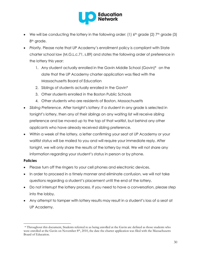

- $\bullet$  We will be conducting the lottery in the following order: (1)  $6<sup>th</sup>$  grade (2)  $7<sup>th</sup>$  grade (3) 8<sup>th</sup> grade.
- *Priority.* Please note that UP Academy's enrollment policy is compliant with State charter school law (M.G.L.c.71, s.89) and states the following order of preference in the lottery this year:
	- 1. Any student actually enrolled in the Gavin Middle School (Gavin)\* on the date that the UP Academy charter application was filed with the Massachusetts Board of Education
	- 2. Siblings of students actually enrolled in the Gavin\*
	- 3. Other students enrolled in the Boston Public Schools
	- 4. Other students who are residents of Boston, Massachusetts
- *Sibling Preference.* After tonight's lottery: If a student in any grade is selected in tonight's lottery, then any of their siblings on any waiting list will receive sibling preference and be moved up to the top of that waitlist, but behind any other applicants who have already received sibling preference.
- Within a week of the lottery, a letter confirming your seat at UP Academy or your waitlist status will be mailed to you and will require your immediate reply. After tonight, we will only share the results of the lottery by mail. We will not share any information regarding your student's status in person or by phone.

# **Policies**

- Please turn off the ringers to your cell phones and electronic devices.
- In order to proceed in a timely manner and eliminate confusion, we will not take questions regarding a student's placement until the end of the lottery.
- Do not interrupt the lottery process. If you need to have a conversation, please step into the lobby.
- Any attempt to tamper with lottery results may result in a student's loss of a seat at UP Academy.

 $\overline{a}$ <sup>1</sup>\* Throughout this document, Students referred to as being enrolled at the Gavin are defined as those students who were enrolled at the Gavin on November 8<sup>th</sup>, 2010, the date the charter application was filed with the Massachusetts Board of Education.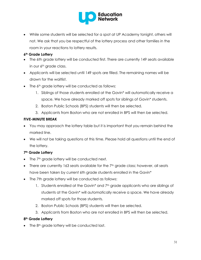

 While some students will be selected for a spot at UP Academy tonight, others will not. We ask that you be respectful of the lottery process and other families in the room in your reactions to lottery results.

# **6th Grade Lottery**

- The 6th grade lottery will be conducted first. There are currently 149 seats available in our 6<sup>th</sup> grade class.
- Applicants will be selected until 149 spots are filled. The remaining names will be drawn for the waitlist.
- The 6<sup>th</sup> grade lottery will be conducted as follows:
	- 1. Siblings of those students enrolled at the Gavin\* will automatically receive a space. We have already marked off spots for siblings of Gavin\* students.
	- 2. Boston Public Schools (BPS) students will then be selected.
	- 3. Applicants from Boston who are not enrolled in BPS will then be selected.

# **FIVE-MINUTE BREAK**

- You may approach the lottery table but it is important that you remain behind the marked line.
- We will not be taking questions at this time. Please hold all questions until the end of the lottery.

# **7th Grade Lottery**

- The 7<sup>th</sup> grade lottery will be conducted next.
- There are currently 163 seats available for the 7<sup>th</sup> grade class; however, all seats have been taken by current 6th grade students enrolled in the Gavin\*
- The 7th grade lottery will be conducted as follows:
	- 1. Students enrolled at the Gavin\* and 7<sup>th</sup> grade applicants who are siblings of students at the Gavin\* will automatically receive a space. We have already marked off spots for those students.
	- 2. Boston Public Schools (BPS) students will then be selected.
	- 3. Applicants from Boston who are not enrolled in BPS will then be selected.

# **8th Grade Lottery**

The 8<sup>th</sup> grade lottery will be conducted last.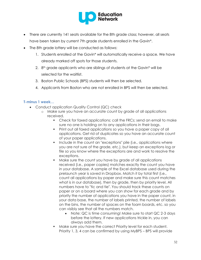

- There are currently 141 seats available for the 8th grade class; however, all seats have been taken by current 7th grade students enrolled in the Gavin\*.
- The 8th grade lottery will be conducted as follows:
	- 1. Students enrolled at the Gavin\* will automatically receive a space. We have already marked off spots for those students.
	- 2.  $8<sup>th</sup>$  grade applicants who are siblings of students at the Gavin\* will be selected for the waitlist.
	- 3. Boston Public Schools (BPS) students will then be selected.
	- 4. Applicants from Boston who are not enrolled in BPS will then be selected.

#### <span id="page-31-0"></span>**T-minus 1 week…**

- Conduct application Quality Control (QC) check
	- o Make sure you have an accurate count by grade of all applications received.
		- Check for faxed applications; call the FRCs; send an email to make sure no one is holding on to any applications in their bags.
		- Print out all faxed applications so you have a paper copy of all applications. Get rid of duplicates so you have an accurate count of your paper applications.
		- Include in the count an "exceptions" pile (i.e., applications where you are not sure of the grade, etc.), but keep an exceptions log or file so you know where the exceptions are and work to resolve the exceptions.
		- Make sure the count you have by grade of all applications received (i.e., paper copies) matches exactly the count you have in your database. A sample of the Excel database used during the prelaunch year is saved in Dropbox. Match it by total first (i.e., count all applications by paper and make sure this count matches what is in our database), then by grade, then by priority level. All numbers have to "tic and tie". You should track these counts on paper or on a board where you can show for each grade and by priority the number of applications you have in the paper count, in your data base, the number of labels printed, the number of labels on the bins, the number of spaces on the foam boards, etc. so you can visibly see that all the numbers match.
			- Note: QC is time consuming! Make sure to start QC 2-3 days before the lottery. If new applications trickle in, you can always add them.
		- Make sure you have the correct Priority level for each student. Priority 1, 3, 4 can be confirmed by using MyBPS – BPS will provide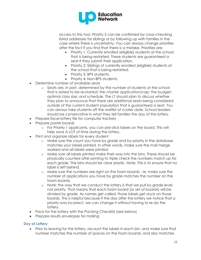

access to this tool. Priority 2 can be confirmed by cross-checking listed addresses for siblings or by following up with families in the case where there is uncertainty. You can always change priorities after the fact if you find that there is a mistake. Priorities are:

- Priority 1: Currently enrolled (eligible) students at the school that is being restarted. These students are guaranteed a seat if they submit their application.
- Priority 2: Siblings of currently enrolled (eligible) students at the school that is being restarted.
- Priority 3: BPS students.
- Priority 4: Non-BPS students.
- Determine number of available seats
	- o Seats are, in part, determined by the number of students at the school that is slated to be re-started; the charter application/cap; the budget; optimal class size; and schedule. The LT should plan to discuss whether they plan to announce that there are additional seats being considered outside of the current student population that is guaranteed a seat. You can always take students off the waitlist at a later date. School leaders should be conservative in what they tell families the day of the lottery.
- Prepare Excel lottery file for computer trackers
- Prepare poster boards
	- o For Priority 1 applicants, you can pre-stick labels on the board. This will help save A LOT of time during the lottery.
- Print and organize labels for every student
	- o Make sure the count you have by grade and by priority in the database matches your labels printed. In other words, make sure the mail merge worked and all labels were printed.
	- o Make sure all labels printed make their way into the bins. These should be physically counted after printing to triple check the numbers match up for each grade. The bins should be clear plastic. Note: This is to ensure that no label is left behind.
	- o Make sure the numbers are right on the foam boards ie, make sure the number of applications you have by grade matches the number on the foam boards.
	- o Note: the way that we conduct the lottery is that we pull by grade level, not priority. That means that each foam board (or set of boards) will be divided by grade. As names get called, those labels get stuck on those boards. This is helpful because if the day after the lottery we notice that a priority was incorrect, we can change it without having to re-do the lottery.
- Pack for the lottery with the Packing Checklist (see below)
- Prepare results envelopes for mailing

#### <span id="page-32-0"></span>**Day of Lottery**

• Prior to leaving for the lottery, recount the labels in each bin, and make sure that number matches the number of spaces on the foam boards, and also matches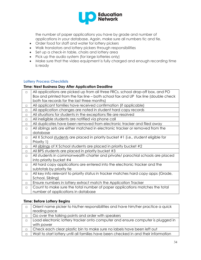

the number of paper applications you have by grade and number of applications in your database. Again, make sure all numbers tic and tie.

- Order food for staff and water for lottery pickers
- Walk translators and lottery pickers through responsibilities
- Set up a check-in table, chairs and lottery area
- Pick up the audio system (for large lotteries only)
- Make sure that the video equipment is fully charged and enough recording time is ready

#### <span id="page-33-0"></span>**Lottery Process Checklists**

# **Time: Next Business Day After Application Deadline**

| $\Box$ | All applications are picked up from all three FRCs, school drop-off box, and PO    |
|--------|------------------------------------------------------------------------------------|
|        | Box and printed from the fax line - both school fax and UP fax line (double check  |
|        | both fax records for the last three months)                                        |
| $\Box$ | All applicant families have received confirmation (if applicable)                  |
| $\Box$ | All application changes are noted in student hard copy records                     |
| П      | All situations for students in the exceptions file are resolved                    |
| П      | All ineligible students are notified via phone call                                |
| $\Box$ | All duplicates have been removed from electronic tracker and filed away            |
| $\Box$ | All siblings sets are either matched in electronic tracker or removed from the     |
|        | database                                                                           |
| $\Box$ | All X School students are placed in priority bucket #1 (i.e., student eligible for |
|        | Priority 1)                                                                        |
| $\Box$ | All siblings of X School students are placed in priority bucket #2                 |
| $\Box$ | All BPS students are placed in priority bucket #3                                  |
| $\Box$ | All students in commonwealth charter and private/ parochial schools are placed     |
|        | into priority bucket #4                                                            |
| $\Box$ | All hard copy applications are entered into the electronic tracker and the         |
|        | subtotals by priority tie                                                          |
| $\Box$ | All key info relevant to priority status in tracker matches hard copy apps (Grade, |
|        | School, Sibling)                                                                   |
| $\Box$ | Ensure numbers in lottery extract match the Application Tracker                    |
| $\Box$ | Count to make sure the total number of paper applications matches the total        |
|        | number of applications in database                                                 |

#### **Time: Before Lottery Begins**

| П | Orient name picker to his/her responsibilities and have him/her practice a quick    |
|---|-------------------------------------------------------------------------------------|
|   | reading pace                                                                        |
|   | Go over the talking points and order with speakers                                  |
| П | Load electronic lottery tracker onto computer and ensure computer is plugged in     |
|   | with power                                                                          |
| п | Check each clear plastic bin to make sure no labels have been left out              |
|   | Wait to start lottery until all families have been checked in and their information |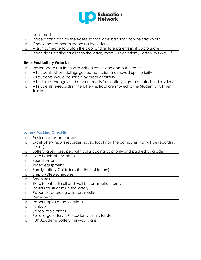

| confirmed                                                                      |
|--------------------------------------------------------------------------------|
| Place a trash can by the easels so that label backings can be thrown out       |
| Check that camera is recording the lottery                                     |
| Assign someone to watch the door and let late parents in, if appropriate       |
| Place signs leading families to the lottery room "UP Academy Lottery this way" |

# **Time: Post-Lottery Wrap Up**

|   | Poster board results tie with written results and computer results                 |
|---|------------------------------------------------------------------------------------|
| П | All students whose siblings gained admission are moved up in priority              |
| П | All students should be sorted by order of priority.                                |
| П | All address changes and other requests from lottery night are noted and resolved   |
| П | All students' e-records in the lottery extract are moved to the Student Enrollment |
|   | <b>Tracker</b>                                                                     |

# <span id="page-34-0"></span>**Lottery Packing Checklist**

| $\Box$ | Poster boards and easels                                                             |  |  |  |
|--------|--------------------------------------------------------------------------------------|--|--|--|
| $\Box$ | Excel lottery results recorder (saved locally on the computer that will be recording |  |  |  |
|        | results)                                                                             |  |  |  |
| П      | Lottery labels, prepped with color coding by priority and packed by grade            |  |  |  |
| П      | Extra blank lottery labels                                                           |  |  |  |
| П      | Sound system                                                                         |  |  |  |
| $\Box$ | Video equipment                                                                      |  |  |  |
| $\Box$ | Family Lottery Guidelines (for the first lottery)                                    |  |  |  |
| П      | Step by Step schedules                                                               |  |  |  |
| П      | <b>Brochures</b>                                                                     |  |  |  |
| П      | Extra intent to Enroll and waitlist confirmation forms                               |  |  |  |
| П      | Rosters for students in the lottery                                                  |  |  |  |
| П      | Paper for recording of lottery results                                               |  |  |  |
| $\Box$ | Pens/ pencils                                                                        |  |  |  |
| П      | Paper copies of applications                                                         |  |  |  |
| $\Box$ | Fishbowl                                                                             |  |  |  |
| $\Box$ | School table cloths                                                                  |  |  |  |
| $\Box$ | For a large lottery, UP Academy t-shirts for staff                                   |  |  |  |
| П      | "UP Academy Lottery this way" signs                                                  |  |  |  |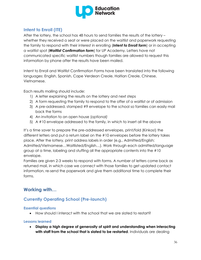

# <span id="page-35-0"></span>**Intent to Enroll (ITE)**

After the lottery, the school has 48 hours to send families the results of the lottery – whether they received a seat or were placed on the waitlist and paperwork requesting the family to respond with their interest in enrolling (*Intent to Enroll form*) or in accepting a waitlist spot (*Waitlist Confirmation form*) for UP Academy. Letters have not communicated specific waitlist numbers though families are allowed to request this information by phone after the results have been mailed.

Intent to Enroll and Waitlist Confirmation Forms have been translated into the following languages: English, Spanish, Cape Verdean Creole, Haitian Creole, Chinese, Vietnamese.

Each results mailing should include:

- 1) A letter explaining the results on the lottery and next steps
- 2) A form requesting the family to respond to the offer of a waitlist or of admission
- 3) A pre-addressed, stamped #9 envelope to the school so families can easily mail back the forms
- 4) An invitation to an open house (*optional)*
- 5) A #10 envelope addressed to the family, in which to insert all the above

It's a time saver to prepare the pre-addressed envelopes, print/fold (Kinkos!) the different letters and put a return label on the #10 envelopes before the lottery takes place. After the lottery, print address labels in order (e.g., Admitted/English; Admitted/Vietnamese…Waitlisted/English…). Work through each admitted/language group at a time, labeling and stuffing all the appropriate contents into the #10 envelope.

Families are given 2-3 weeks to respond with forms. A number of letters come back as returned mail, in which case we connect with those families to get updated contact information, re-send the paperwork and give them additional time to complete their forms.

# <span id="page-35-1"></span>**Working with…**

# <span id="page-35-2"></span>**Currently Operating School (Pre-launch)**

# <span id="page-35-3"></span>**Essential questions**

How should I interact with the school that we are slated to restart?

# <span id="page-35-4"></span>**Lessons learned**

 **Display a high degree of generosity of spirit and understanding when interacting with staff from the school that is slated to be restarted**. Individuals are dealing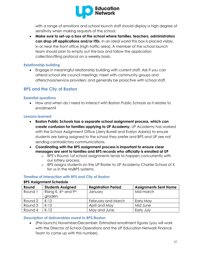

with a range of emotions and school launch staff should display a high degree of sensitivity when making requests of the school.

 **Make sure to set-up a box at the school where families, teachers, administrators can drop off applications and/or ITEs**. In an ideal world this box is placed visibly, in or near the front office (high traffic area). A member of the school launch team should plan to empty out the box and follow the application collection/filing protocol on a weekly basis.

#### <span id="page-36-0"></span>**Relationship building**

 Engage in meaningful relationship building with current staff. Ask if you can attend school site council meetings; meet with community groups and afterschool/service providers; and generally be proactive with school staff.

# <span id="page-36-1"></span>**BPS and the City of Boston**

#### <span id="page-36-2"></span>**Essential questions**

 How and when do I need to interact with Boston Public Schools as it relates to enrollment?

#### <span id="page-36-3"></span>**Lessons learned**

- **Boston Public Schools has a separate school assignment process, which can create confusion for families applying to UP Academy.** UP Academy has worked with the School Assignment Office (Jerry Burrell and Evelyn Adario) to ensure students are being assigned to the school they prefer and BPS and UP are not sending contradictory communications.
- **Coordinating with the BPS assignment process is important to ensure clear messages are sent to families and BPS records who officially is enrolled at UP**
	- o BPS's Round 1of school assignments tends to happen concurrently with our lottery process.
	- o BPS assigns students on the UP Roster to UP Academy Charter School of X for us in the MyBPS systems.

# <span id="page-36-4"></span>**Timeline of interaction with BPS and City of Boston**

#### **BPS Assignment Schedule**

| Round   | <b>Students Assigned</b>                                 | <b>Registration Period</b> | <b>Assignments Sent Home</b> |
|---------|----------------------------------------------------------|----------------------------|------------------------------|
| Round 1 | Rising K, 6 <sup>th</sup> and 9 <sup>th</sup><br>graders | January                    | Mid-march                    |
| Round 2 | $K-12$                                                   | February and March         | Early May                    |
| Round 3 | $K-12$                                                   | April and May              | Mid June                     |
| Round 4 | $K-12$                                                   | May and June               | Early July                   |

# <span id="page-36-5"></span>**Description of deliverables owed to BPS/Boston**

 (Pre-launch) November/December: Estimated enrollment figures (you will work with the Director of School Operations and the UP Education Network Finance Team to come up with this number).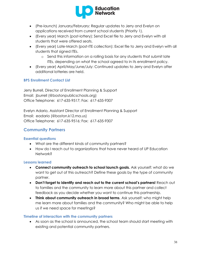

- (Pre-launch) January/February: Regular updates to Jerry and Evelyn on applications received from current school students (Priority 1).
- (Every year) March (post-lottery): Send Excel file to Jerry and Evelyn with all students that were offered seats.
- (Every year) Late-March (post-ITE collection): Excel file to Jerry and Evelyn with all students that signed ITEs.
	- o Send this information on a rolling basis for any students that submit late ITEs, depending on what the school agreed to in its enrollment policy.
- (Every year) April/May/June/July: Continued updates to Jerry and Evelyn after additional lotteries are held.

# <span id="page-37-0"></span>**BPS Enrollment Contact List**

Jerry Burrell, Director of Enrollment Planning & Support Email: jburrell (@bostonpublicschools.org) Office Telephone: 617-635-9517; Fax: 617-635-9307

Evelyn Adario, Assistant Director of Enrollment Planning & Support Email: eadario (@boston.k12.ma.us) Office Telephone: 617-635-9516; Fax: 617-635-9307

# <span id="page-37-1"></span>**Community Partners**

# <span id="page-37-2"></span>**Essential questions**

- What are the different kinds of community partners?
- How do I reach out to organizations that have never heard of UP Education Network?

# <span id="page-37-3"></span>**Lessons learned**

- **Connect community outreach to school launch goals.** Ask yourself: what do we want to get out of this outreach? Define these goals by the type of community partner.
- **Don't forget to identify and reach out to the current school's partners!** Reach out to families and the community to learn more about this partner and collect feedback as you decide whether you want to continue this partnership.
- **Think about community outreach in broad terms**. Ask yourself: who might help me learn more about families and the community? Who might be able to help us if we need space for meetings?

# <span id="page-37-4"></span>**Timeline of interaction with the community partners**

 As soon as the school is announced, the school team should start meeting with existing and potential community partners.